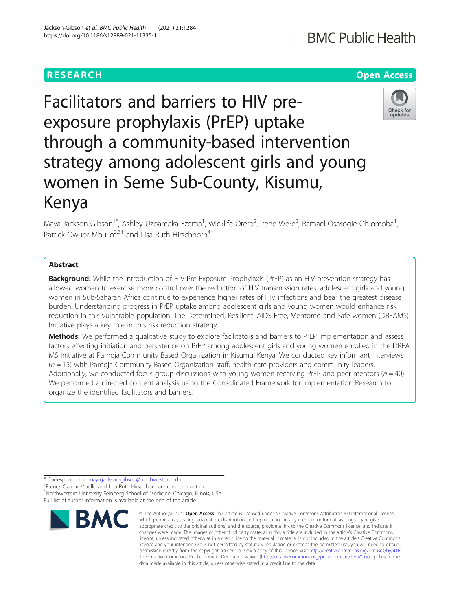# **RESEARCH CHE Open Access**

# Facilitators and barriers to HIV preexposure prophylaxis (PrEP) uptake through a community-based intervention strategy among adolescent girls and young women in Seme Sub-County, Kisumu, Kenya

Maya Jackson-Gibson<sup>1\*</sup>, Ashley Uzoamaka Ezema<sup>1</sup>, Wicklife Orero<sup>2</sup>, Irene Were<sup>2</sup>, Ramael Osasogie Ohiomoba<sup>1</sup> , Patrick Owuor Mbullo<sup>2,3†</sup> and Lisa Ruth Hirschhorn<sup>4†</sup>

# Abstract

**Background:** While the introduction of HIV Pre-Exposure Prophylaxis (PrEP) as an HIV prevention strategy has allowed women to exercise more control over the reduction of HIV transmission rates, adolescent girls and young women in Sub-Saharan Africa continue to experience higher rates of HIV infections and bear the greatest disease burden. Understanding progress in PrEP uptake among adolescent girls and young women would enhance risk reduction in this vulnerable population. The Determined, Resilient, AIDS-Free, Mentored and Safe women (DREAMS) Initiative plays a key role in this risk reduction strategy.

Methods: We performed a qualitative study to explore facilitators and barriers to PrEP implementation and assess factors effecting initiation and persistence on PrEP among adolescent girls and young women enrolled in the DREA MS Initiative at Pamoja Community Based Organization in Kisumu, Kenya. We conducted key informant interviews  $(n = 15)$  with Pamoja Community Based Organization staff, health care providers and community leaders. Additionally, we conducted focus group discussions with young women receiving PrEP and peer mentors ( $n = 40$ ). We performed a directed content analysis using the Consolidated Framework for Implementation Research to organize the identified facilitators and barriers.

\* Correspondence: [maya.jackson-gibson@northwestern.edu](mailto:maya.jackson-gibson@northwestern.edu) †

Patrick Owuor Mbullo and Lisa Ruth Hirschhorn are co-senior author. <sup>1</sup>Northwestern University Feinberg School of Medicine, Chicago, Illinois, USA Full list of author information is available at the end of the article







<sup>©</sup> The Author(s), 2021 **Open Access** This article is licensed under a Creative Commons Attribution 4.0 International License, which permits use, sharing, adaptation, distribution and reproduction in any medium or format, as long as you give appropriate credit to the original author(s) and the source, provide a link to the Creative Commons licence, and indicate if changes were made. The images or other third party material in this article are included in the article's Creative Commons licence, unless indicated otherwise in a credit line to the material. If material is not included in the article's Creative Commons licence and your intended use is not permitted by statutory regulation or exceeds the permitted use, you will need to obtain permission directly from the copyright holder. To view a copy of this licence, visit [http://creativecommons.org/licenses/by/4.0/.](http://creativecommons.org/licenses/by/4.0/) The Creative Commons Public Domain Dedication waiver [\(http://creativecommons.org/publicdomain/zero/1.0/](http://creativecommons.org/publicdomain/zero/1.0/)) applies to the data made available in this article, unless otherwise stated in a credit line to the data.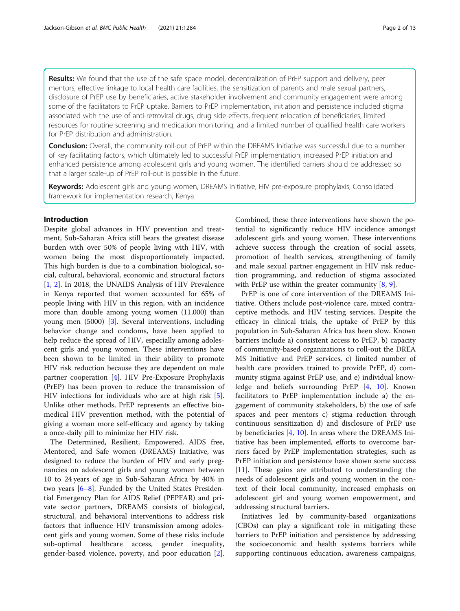Results: We found that the use of the safe space model, decentralization of PrEP support and delivery, peer mentors, effective linkage to local health care facilities, the sensitization of parents and male sexual partners, disclosure of PrEP use by beneficiaries, active stakeholder involvement and community engagement were among some of the facilitators to PrEP uptake. Barriers to PrEP implementation, initiation and persistence included stigma associated with the use of anti-retroviral drugs, drug side effects, frequent relocation of beneficiaries, limited resources for routine screening and medication monitoring, and a limited number of qualified health care workers for PrEP distribution and administration.

**Conclusion:** Overall, the community roll-out of PrEP within the DREAMS Initiative was successful due to a number of key facilitating factors, which ultimately led to successful PrEP implementation, increased PrEP initiation and enhanced persistence among adolescent girls and young women. The identified barriers should be addressed so that a larger scale-up of PrEP roll-out is possible in the future.

Keywords: Adolescent girls and young women, DREAMS initiative, HIV pre-exposure prophylaxis, Consolidated framework for implementation research, Kenya

# Introduction

Despite global advances in HIV prevention and treatment, Sub-Saharan Africa still bears the greatest disease burden with over 50% of people living with HIV, with women being the most disproportionately impacted. This high burden is due to a combination biological, social, cultural, behavioral, economic and structural factors [[1,](#page-11-0) [2](#page-11-0)]. In 2018, the UNAIDS Analysis of HIV Prevalence in Kenya reported that women accounted for 65% of people living with HIV in this region, with an incidence more than double among young women (11,000) than young men (5000) [\[3](#page-11-0)]. Several interventions, including behavior change and condoms, have been applied to help reduce the spread of HIV, especially among adolescent girls and young women. These interventions have been shown to be limited in their ability to promote HIV risk reduction because they are dependent on male partner cooperation [\[4](#page-11-0)]. HIV Pre-Exposure Prophylaxis (PrEP) has been proven to reduce the transmission of HIV infections for individuals who are at high risk [\[5](#page-11-0)]. Unlike other methods, PrEP represents an effective biomedical HIV prevention method, with the potential of giving a woman more self-efficacy and agency by taking a once-daily pill to minimize her HIV risk.

The Determined, Resilient, Empowered, AIDS free, Mentored, and Safe women (DREAMS) Initiative, was designed to reduce the burden of HIV and early pregnancies on adolescent girls and young women between 10 to 24 years of age in Sub-Saharan Africa by 40% in two years [\[6](#page-11-0)–[8\]](#page-11-0). Funded by the United States Presidential Emergency Plan for AIDS Relief (PEPFAR) and private sector partners, DREAMS consists of biological, structural, and behavioral interventions to address risk factors that influence HIV transmission among adolescent girls and young women. Some of these risks include sub-optimal healthcare access, gender inequality, gender-based violence, poverty, and poor education [\[2](#page-11-0)].

Combined, these three interventions have shown the potential to significantly reduce HIV incidence amongst adolescent girls and young women. These interventions achieve success through the creation of social assets, promotion of health services, strengthening of family and male sexual partner engagement in HIV risk reduction programming, and reduction of stigma associated with PrEP use within the greater community [\[8,](#page-11-0) [9\]](#page-11-0).

PrEP is one of core intervention of the DREAMS Initiative. Others include post-violence care, mixed contraceptive methods, and HIV testing services. Despite the efficacy in clinical trials, the uptake of PrEP by this population in Sub-Saharan Africa has been slow. Known barriers include a) consistent access to PrEP, b) capacity of community-based organizations to roll-out the DREA MS Initiative and PrEP services, c) limited number of health care providers trained to provide PrEP, d) community stigma against PrEP use, and e) individual knowledge and beliefs surrounding PrEP [[4,](#page-11-0) [10](#page-11-0)]. Known facilitators to PrEP implementation include a) the engagement of community stakeholders, b) the use of safe spaces and peer mentors c) stigma reduction through continuous sensitization d) and disclosure of PrEP use by beneficiaries [[4,](#page-11-0) [10\]](#page-11-0). In areas where the DREAMS Initiative has been implemented, efforts to overcome barriers faced by PrEP implementation strategies, such as PrEP initiation and persistence have shown some success [[11\]](#page-11-0). These gains are attributed to understanding the needs of adolescent girls and young women in the context of their local community, increased emphasis on adolescent girl and young women empowerment, and addressing structural barriers.

Initiatives led by community-based organizations (CBOs) can play a significant role in mitigating these barriers to PrEP initiation and persistence by addressing the socioeconomic and health systems barriers while supporting continuous education, awareness campaigns,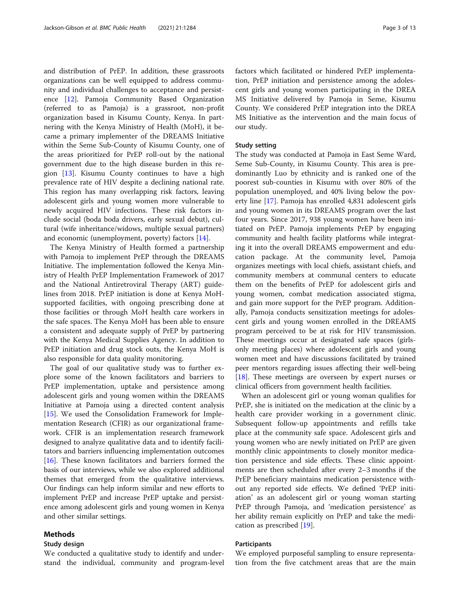and distribution of PrEP. In addition, these grassroots organizations can be well equipped to address community and individual challenges to acceptance and persistence [[12](#page-11-0)]. Pamoja Community Based Organization (referred to as Pamoja) is a grassroot, non-profit organization based in Kisumu County, Kenya. In partnering with the Kenya Ministry of Health (MoH), it became a primary implementer of the DREAMS Initiative within the Seme Sub-County of Kisumu County, one of the areas prioritized for PrEP roll-out by the national government due to the high disease burden in this region  $[13]$  $[13]$  $[13]$ . Kisumu County continues to have a high prevalence rate of HIV despite a declining national rate. This region has many overlapping risk factors, leaving adolescent girls and young women more vulnerable to newly acquired HIV infections. These risk factors include social (boda boda drivers, early sexual debut), cultural (wife inheritance/widows, multiple sexual partners) and economic (unemployment, poverty) factors [\[14](#page-11-0)].

The Kenya Ministry of Health formed a partnership with Pamoja to implement PrEP through the DREAMS Initiative. The implementation followed the Kenya Ministry of Health PrEP Implementation Framework of 2017 and the National Antiretroviral Therapy (ART) guidelines from 2018. PrEP initiation is done at Kenya MoHsupported facilities, with ongoing prescribing done at those facilities or through MoH health care workers in the safe spaces. The Kenya MoH has been able to ensure a consistent and adequate supply of PrEP by partnering with the Kenya Medical Supplies Agency. In addition to PrEP initiation and drug stock outs, the Kenya MoH is also responsible for data quality monitoring.

The goal of our qualitative study was to further explore some of the known facilitators and barriers to PrEP implementation, uptake and persistence among adolescent girls and young women within the DREAMS Initiative at Pamoja using a directed content analysis [[15\]](#page-11-0). We used the Consolidation Framework for Implementation Research (CFIR) as our organizational framework. CFIR is an implementation research framework designed to analyze qualitative data and to identify facilitators and barriers influencing implementation outcomes [[16\]](#page-11-0). These known facilitators and barriers formed the basis of our interviews, while we also explored additional themes that emerged from the qualitative interviews. Our findings can help inform similar and new efforts to implement PrEP and increase PrEP uptake and persistence among adolescent girls and young women in Kenya and other similar settings.

# Methods

#### Study design

We conducted a qualitative study to identify and understand the individual, community and program-level factors which facilitated or hindered PrEP implementation, PrEP initiation and persistence among the adolescent girls and young women participating in the DREA MS Initiative delivered by Pamoja in Seme, Kisumu County. We considered PrEP integration into the DREA MS Initiative as the intervention and the main focus of our study.

#### Study setting

The study was conducted at Pamoja in East Seme Ward, Seme Sub-County, in Kisumu County. This area is predominantly Luo by ethnicity and is ranked one of the poorest sub-counties in Kisumu with over 80% of the population unemployed, and 40% living below the poverty line [\[17\]](#page-11-0). Pamoja has enrolled 4,831 adolescent girls and young women in its DREAMS program over the last four years. Since 2017, 938 young women have been initiated on PrEP. Pamoja implements PrEP by engaging community and health facility platforms while integrating it into the overall DREAMS empowerment and education package. At the community level, Pamoja organizes meetings with local chiefs, assistant chiefs, and community members at communal centers to educate them on the benefits of PrEP for adolescent girls and young women, combat medication associated stigma, and gain more support for the PrEP program. Additionally, Pamoja conducts sensitization meetings for adolescent girls and young women enrolled in the DREAMS program perceived to be at risk for HIV transmission. These meetings occur at designated safe spaces (girlsonly meeting places) where adolescent girls and young women meet and have discussions facilitated by trained peer mentors regarding issues affecting their well-being [[18\]](#page-11-0). These meetings are overseen by expert nurses or clinical officers from government health facilities.

When an adolescent girl or young woman qualifies for PrEP, she is initiated on the medication at the clinic by a health care provider working in a government clinic. Subsequent follow-up appointments and refills take place at the community safe space. Adolescent girls and young women who are newly initiated on PrEP are given monthly clinic appointments to closely monitor medication persistence and side effects. These clinic appointments are then scheduled after every 2–3 months if the PrEP beneficiary maintains medication persistence without any reported side effects. We defined 'PrEP initiation' as an adolescent girl or young woman starting PrEP through Pamoja, and 'medication persistence' as her ability remain explicitly on PrEP and take the medication as prescribed [\[19](#page-11-0)].

#### Participants

We employed purposeful sampling to ensure representation from the five catchment areas that are the main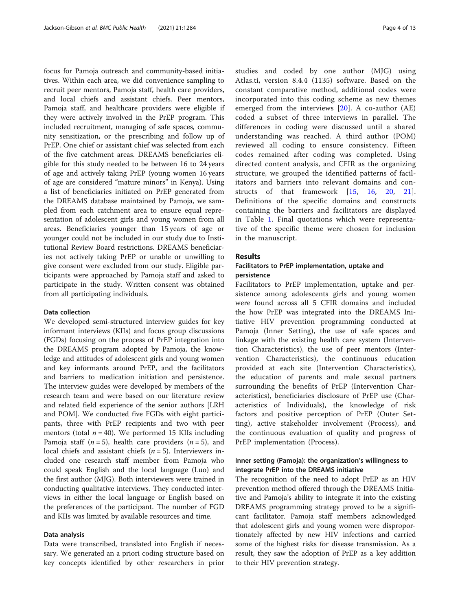focus for Pamoja outreach and community-based initiatives. Within each area, we did convenience sampling to recruit peer mentors, Pamoja staff, health care providers, and local chiefs and assistant chiefs. Peer mentors, Pamoja staff, and healthcare providers were eligible if they were actively involved in the PrEP program. This included recruitment, managing of safe spaces, community sensitization, or the prescribing and follow up of PrEP. One chief or assistant chief was selected from each of the five catchment areas. DREAMS beneficiaries eligible for this study needed to be between 16 to 24 years of age and actively taking PrEP (young women 16 years of age are considered "mature minors" in Kenya). Using a list of beneficiaries initiated on PrEP generated from the DREAMS database maintained by Pamoja, we sampled from each catchment area to ensure equal representation of adolescent girls and young women from all areas. Beneficiaries younger than 15 years of age or younger could not be included in our study due to Institutional Review Board restrictions. DREAMS beneficiaries not actively taking PrEP or unable or unwilling to give consent were excluded from our study. Eligible participants were approached by Pamoja staff and asked to participate in the study. Written consent was obtained from all participating individuals.

# Data collection

We developed semi-structured interview guides for key informant interviews (KIIs) and focus group discussions (FGDs) focusing on the process of PrEP integration into the DREAMS program adopted by Pamoja, the knowledge and attitudes of adolescent girls and young women and key informants around PrEP, and the facilitators and barriers to medication initiation and persistence. The interview guides were developed by members of the research team and were based on our literature review and related field experience of the senior authors [LRH and POM]. We conducted five FGDs with eight participants, three with PrEP recipients and two with peer mentors (total  $n = 40$ ). We performed 15 KIIs including Pamoja staff ( $n = 5$ ), health care providers ( $n = 5$ ), and local chiefs and assistant chiefs ( $n = 5$ ). Interviewers included one research staff member from Pamoja who could speak English and the local language (Luo) and the first author (MJG). Both interviewers were trained in conducting qualitative interviews. They conducted interviews in either the local language or English based on the preferences of the participant. The number of FGD and KIIs was limited by available resources and time.

# Data analysis

Data were transcribed, translated into English if necessary. We generated an a priori coding structure based on key concepts identified by other researchers in prior studies and coded by one author (MJG) using Atlas.ti, version 8.4.4 (1135) software. Based on the constant comparative method, additional codes were incorporated into this coding scheme as new themes emerged from the interviews [\[20\]](#page-11-0). A co-author (AE) coded a subset of three interviews in parallel. The differences in coding were discussed until a shared understanding was reached. A third author (POM) reviewed all coding to ensure consistency. Fifteen codes remained after coding was completed. Using directed content analysis, and CFIR as the organizing structure, we grouped the identified patterns of facilitators and barriers into relevant domains and constructs of that framework [[15](#page-11-0), [16,](#page-11-0) [20](#page-11-0), [21](#page-11-0)]. Definitions of the specific domains and constructs containing the barriers and facilitators are displayed in Table [1](#page-4-0). Final quotations which were representative of the specific theme were chosen for inclusion in the manuscript.

# Results

# Facilitators to PrEP implementation, uptake and persistence

Facilitators to PrEP implementation, uptake and persistence among adolescents girls and young women were found across all 5 CFIR domains and included the how PrEP was integrated into the DREAMS Initiative HIV prevention programming conducted at Pamoja (Inner Setting), the use of safe spaces and linkage with the existing health care system (Intervention Characteristics), the use of peer mentors (Intervention Characteristics), the continuous education provided at each site (Intervention Characteristics), the education of parents and male sexual partners surrounding the benefits of PrEP (Intervention Characteristics), beneficiaries disclosure of PrEP use (Characteristics of Individuals), the knowledge of risk factors and positive perception of PrEP (Outer Setting), active stakeholder involvement (Process), and the continuous evaluation of quality and progress of PrEP implementation (Process).

# Inner setting (Pamoja): the organization's willingness to integrate PrEP into the DREAMS initiative

The recognition of the need to adopt PrEP as an HIV prevention method offered through the DREAMS Initiative and Pamoja's ability to integrate it into the existing DREAMS programming strategy proved to be a significant facilitator. Pamoja staff members acknowledged that adolescent girls and young women were disproportionately affected by new HIV infections and carried some of the highest risks for disease transmission. As a result, they saw the adoption of PrEP as a key addition to their HIV prevention strategy.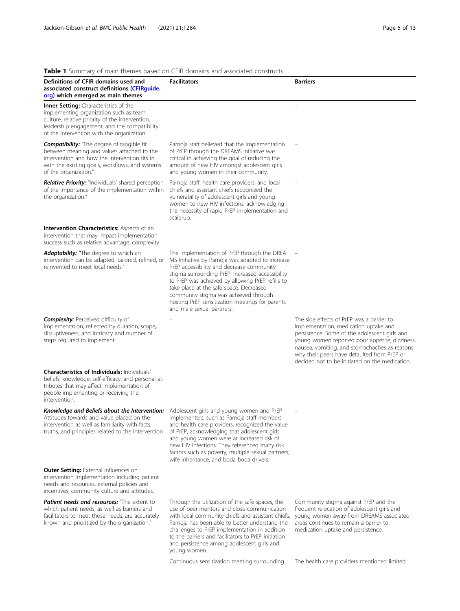# <span id="page-4-0"></span>Table 1 Summary of main themes based on CFIR domains and associated constructs

| <b>Table T</b> Suffitually Of Hialit themes based on Crin domains and associated constructs                                                                                                                                                                                              |                                                                                                                                                                                                                                                                                                                                                                                                                         |                                                                                                                                                                                                                                                                                                                                         |
|------------------------------------------------------------------------------------------------------------------------------------------------------------------------------------------------------------------------------------------------------------------------------------------|-------------------------------------------------------------------------------------------------------------------------------------------------------------------------------------------------------------------------------------------------------------------------------------------------------------------------------------------------------------------------------------------------------------------------|-----------------------------------------------------------------------------------------------------------------------------------------------------------------------------------------------------------------------------------------------------------------------------------------------------------------------------------------|
| Definitions of CFIR domains used and<br>associated construct definitions (CFIRquide.<br>org) which emerged as main themes                                                                                                                                                                | <b>Facilitators</b>                                                                                                                                                                                                                                                                                                                                                                                                     | <b>Barriers</b>                                                                                                                                                                                                                                                                                                                         |
| <b>Inner Setting:</b> Characteristics of the<br>implementing organization such as team<br>culture, relative priority of the intervention,<br>leadership engagement, and the compatibility<br>of the intervention with the organization                                                   |                                                                                                                                                                                                                                                                                                                                                                                                                         |                                                                                                                                                                                                                                                                                                                                         |
| <b>Compatibility:</b> "The degree of tangible fit<br>between meaning and values attached to the<br>intervention and how the intervention fits in<br>with the existing goals, workflows, and systems<br>of the organization."                                                             | Pamoja staff believed that the implementation<br>of PrEP through the DREAMS Initiative was<br>critical in achieving the goal of reducing the<br>amount of new HIV amongst adolescent girls<br>and young women in their community.                                                                                                                                                                                       |                                                                                                                                                                                                                                                                                                                                         |
| Relative Priority: "Individuals' shared perception<br>of the importance of the implementation within<br>the organization."                                                                                                                                                               | Pamoja staff, health care providers, and local<br>chiefs and assistant chiefs recognized the<br>vulnerability of adolescent girls and young<br>women to new HIV infections, acknowledging<br>the necessity of rapid PrEP implementation and<br>scale-up.                                                                                                                                                                |                                                                                                                                                                                                                                                                                                                                         |
| <b>Intervention Characteristics: Aspects of an</b><br>intervention that may impact implementation<br>success such as relative advantage, complexity                                                                                                                                      |                                                                                                                                                                                                                                                                                                                                                                                                                         |                                                                                                                                                                                                                                                                                                                                         |
| Adaptability: "The degree to which an<br>intervention can be adapted, tailored, refined, or<br>reinvented to meet local needs."                                                                                                                                                          | The implementation of PrEP through the DREA<br>MS Initiative by Pamoja was adapted to increase<br>PrEP accessibility and decrease community<br>stigma surrounding PrEP. Increased accessibility<br>to PrEP was achieved by allowing PrEP refills to<br>take place at the safe space. Decreased<br>community stigma was achieved through<br>hosting PrEP sensitization meetings for parents<br>and male sexual partners. |                                                                                                                                                                                                                                                                                                                                         |
| <b>Complexity:</b> Perceived difficulty of<br>implementation, reflected by duration, scope,<br>disruptiveness, and intricacy and number of<br>steps required to implement.                                                                                                               |                                                                                                                                                                                                                                                                                                                                                                                                                         | The side effects of PrEP was a barrier to<br>implementation, medication uptake and<br>persistence. Some of the adolescent girls and<br>young women reported poor appetite, dizziness,<br>nausea, vomiting, and stomachaches as reasons<br>why their peers have defaulted from PrEP or<br>decided not to be initiated on the medication. |
| <b>Characteristics of Individuals: Individuals'</b><br>beliefs, knowledge, self-efficacy, and personal at-<br>tributes that may affect implementation of<br>people implementing or receiving the<br>intervention.                                                                        |                                                                                                                                                                                                                                                                                                                                                                                                                         |                                                                                                                                                                                                                                                                                                                                         |
| Knowledge and Beliefs about the Intervention: Adolescent girls and young women and PrEP<br>Attitudes towards and value placed on the implementers, such as Pamoja staff members<br>intervention as well as familiarity with facts,<br>truths, and principles related to the intervention | and health care providers, recognized the value<br>of PrEP, acknowledging that adolescent girls<br>and young women were at increased risk of<br>new HIV infections. They referenced many risk<br>factors such as poverty, multiple sexual partners,<br>wife inheritance, and boda boda drivers.                                                                                                                         |                                                                                                                                                                                                                                                                                                                                         |
| <b>Outer Setting: External influences on</b><br>intervention implementation including patient<br>needs and resources, external policies and<br>incentives, community culture and attitudes.                                                                                              |                                                                                                                                                                                                                                                                                                                                                                                                                         |                                                                                                                                                                                                                                                                                                                                         |
| <b>Patient needs and resources:</b> "The extent to<br>which patient needs, as well as barriers and<br>facilitators to meet those needs, are accurately<br>known and prioritized by the organization."                                                                                    | Through the utilization of the safe spaces, the<br>use of peer mentors and close communication<br>with local community chiefs and assistant chiefs,<br>Pamoja has been able to better understand the<br>challenges to PrEP implementation in addition<br>to the barriers and facilitators to PrEP initiation<br>and persistence among adolescent girls and                                                              | Community stigma against PrEP and the<br>frequent relocation of adolescent girls and<br>young women away from DREAMS associated<br>areas continues to remain a barrier to<br>medication uptake and persistence.                                                                                                                         |

Continuous sensitization meeting surrounding The health care providers mentioned limited

young women.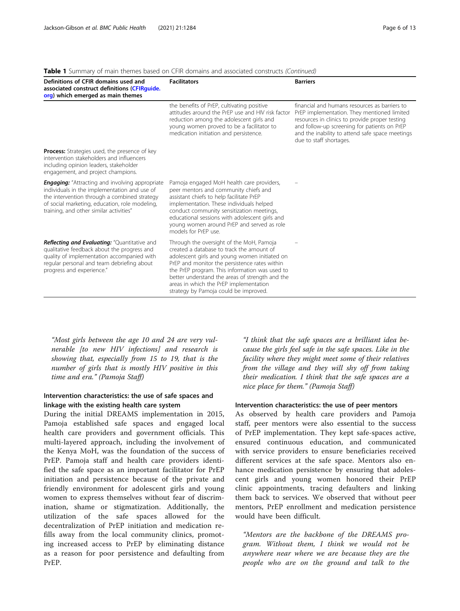| Definitions of CFIR domains used and<br>associated construct definitions (CFIRquide.<br>org) which emerged as main themes                                                                                                                           | <b>Facilitators</b>                                                                                                                                                                                                                                                                                                                                                             | <b>Barriers</b>                                                                                                                                                                                                                                                              |
|-----------------------------------------------------------------------------------------------------------------------------------------------------------------------------------------------------------------------------------------------------|---------------------------------------------------------------------------------------------------------------------------------------------------------------------------------------------------------------------------------------------------------------------------------------------------------------------------------------------------------------------------------|------------------------------------------------------------------------------------------------------------------------------------------------------------------------------------------------------------------------------------------------------------------------------|
|                                                                                                                                                                                                                                                     | the benefits of PrEP, cultivating positive<br>attitudes around the PrFP use and HIV risk factor<br>reduction among the adolescent girls and<br>young women proved to be a facilitator to<br>medication initiation and persistence.                                                                                                                                              | financial and humans resources as barriers to<br>PrEP implementation. They mentioned limited<br>resources in clinics to provide proper testing<br>and follow-up screening for patients on PrEP<br>and the inability to attend safe space meetings<br>due to staff shortages. |
| <b>Process:</b> Strategies used, the presence of key<br>intervention stakeholders and influencers<br>including opinion leaders, stakeholder<br>engagement, and project champions.                                                                   |                                                                                                                                                                                                                                                                                                                                                                                 |                                                                                                                                                                                                                                                                              |
| <b>Engaging:</b> "Attracting and involving appropriate<br>individuals in the implementation and use of<br>the intervention through a combined strategy<br>of social marketing, education, role modeling,<br>training, and other similar activities" | Pamoja engaged MoH health care providers,<br>peer mentors and community chiefs and<br>assistant chiefs to help facilitate PrEP<br>implementation. These individuals helped<br>conduct community sensitization meetings,<br>educational sessions with adolescent girls and<br>young women around PrEP and served as role<br>models for PrFP use.                                 |                                                                                                                                                                                                                                                                              |
| Reflecting and Evaluating: "Quantitative and<br>qualitative feedback about the progress and<br>quality of implementation accompanied with<br>regular personal and team debriefing about<br>progress and experience."                                | Through the oversight of the MoH, Pamoja<br>created a database to track the amount of<br>adolescent girls and young women initiated on<br>PrEP and monitor the persistence rates within<br>the PrEP program. This information was used to<br>better understand the areas of strength and the<br>areas in which the PrEP implementation<br>strategy by Pamoja could be improved. |                                                                                                                                                                                                                                                                              |

**Table 1** Summary of main themes based on CFIR domains and associated constructs (Continued)

"Most girls between the age 10 and 24 are very vulnerable [to new HIV infections] and research is showing that, especially from 15 to 19, that is the number of girls that is mostly HIV positive in this time and era." (Pamoja Staff)

# Intervention characteristics: the use of safe spaces and linkage with the existing health care system

During the initial DREAMS implementation in 2015, Pamoja established safe spaces and engaged local health care providers and government officials. This multi-layered approach, including the involvement of the Kenya MoH, was the foundation of the success of PrEP. Pamoja staff and health care providers identified the safe space as an important facilitator for PrEP initiation and persistence because of the private and friendly environment for adolescent girls and young women to express themselves without fear of discrimination, shame or stigmatization. Additionally, the utilization of the safe spaces allowed for the decentralization of PrEP initiation and medication refills away from the local community clinics, promoting increased access to PrEP by eliminating distance as a reason for poor persistence and defaulting from PrEP.

"I think that the safe spaces are a brilliant idea because the girls feel safe in the safe spaces. Like in the facility where they might meet some of their relatives from the village and they will shy off from taking their medication. I think that the safe spaces are a nice place for them." (Pamoja Staff)

# Intervention characteristics: the use of peer mentors

As observed by health care providers and Pamoja staff, peer mentors were also essential to the success of PrEP implementation. They kept safe-spaces active, ensured continuous education, and communicated with service providers to ensure beneficiaries received different services at the safe space. Mentors also enhance medication persistence by ensuring that adolescent girls and young women honored their PrEP clinic appointments, tracing defaulters and linking them back to services. We observed that without peer mentors, PrEP enrollment and medication persistence would have been difficult.

"Mentors are the backbone of the DREAMS program. Without them, I think we would not be anywhere near where we are because they are the people who are on the ground and talk to the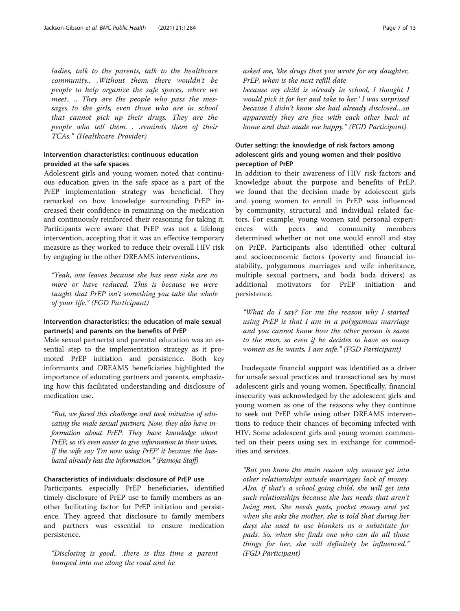ladies, talk to the parents, talk to the healthcare community.. .Without them, there wouldn't be people to help organize the safe spaces, where we meet.. .. They are the people who pass the messages to the girls, even those who are in school that cannot pick up their drugs. They are the people who tell them. . .reminds them of their TCAs." (Healthcare Provider)

# Intervention characteristics: continuous education provided at the safe spaces

Adolescent girls and young women noted that continuous education given in the safe space as a part of the PrEP implementation strategy was beneficial. They remarked on how knowledge surrounding PrEP increased their confidence in remaining on the medication and continuously reinforced their reasoning for taking it. Participants were aware that PrEP was not a lifelong intervention, accepting that it was an effective temporary measure as they worked to reduce their overall HIV risk by engaging in the other DREAMS interventions.

"Yeah, one leaves because she has seen risks are no more or have reduced. This is because we were taught that PrEP isn't something you take the whole of your life." (FGD Participant)

# Intervention characteristics: the education of male sexual partner(s) and parents on the benefits of PrEP

Male sexual partner(s) and parental education was an essential step to the implementation strategy as it promoted PrEP initiation and persistence. Both key informants and DREAMS beneficiaries highlighted the importance of educating partners and parents, emphasizing how this facilitated understanding and disclosure of medication use.

"But, we faced this challenge and took initiative of educating the male sexual partners. Now, they also have information about PrEP. They have knowledge about PrEP, so it's even easier to give information to their wives. If the wife say 'I'm now using PrEP' it because the husband already has the information." (Pamoja Staff)

# Characteristics of individuals: disclosure of PrEP use

Participants, especially PrEP beneficiaries, identified timely disclosure of PrEP use to family members as another facilitating factor for PrEP initiation and persistence. They agreed that disclosure to family members and partners was essential to ensure medication persistence.

"Disclosing is good.. .there is this time a parent bumped into me along the road and he

asked me, 'the drugs that you wrote for my daughter, PrEP, when is the next refill date

because my child is already in school, I thought I would pick it for her and take to her.' I was surprised because I didn't know she had already disclosed…so apparently they are free with each other back at home and that made me happy." (FGD Participant)

# Outer setting: the knowledge of risk factors among adolescent girls and young women and their positive perception of PrEP

In addition to their awareness of HIV risk factors and knowledge about the purpose and benefits of PrEP, we found that the decision made by adolescent girls and young women to enroll in PrEP was influenced by community, structural and individual related factors. For example, young women said personal experiences with peers and community members determined whether or not one would enroll and stay on PrEP. Participants also identified other cultural and socioeconomic factors (poverty and financial instability, polygamous marriages and wife inheritance, multiple sexual partners, and boda boda drivers) as additional motivators for PrEP initiation and persistence.

"What do I say? For me the reason why I started using PrEP is that I am in a polygamous marriage and you cannot know how the other person is same to the man, so even if he decides to have as many women as he wants, I am safe." (FGD Participant)

Inadequate financial support was identified as a driver for unsafe sexual practices and transactional sex by most adolescent girls and young women. Specifically, financial insecurity was acknowledged by the adolescent girls and young women as one of the reasons why they continue to seek out PrEP while using other DREAMS interventions to reduce their chances of becoming infected with HIV. Some adolescent girls and young women commented on their peers using sex in exchange for commodities and services.

"But you know the main reason why women get into other relationships outside marriages lack of money. Also, if that's a school going child, she will get into such relationships because she has needs that aren't being met. She needs pads, pocket money and yet when she asks the mother, she is told that during her days she used to use blankets as a substitute for pads. So, when she finds one who can do all those things for her, she will definitely be influenced." (FGD Participant)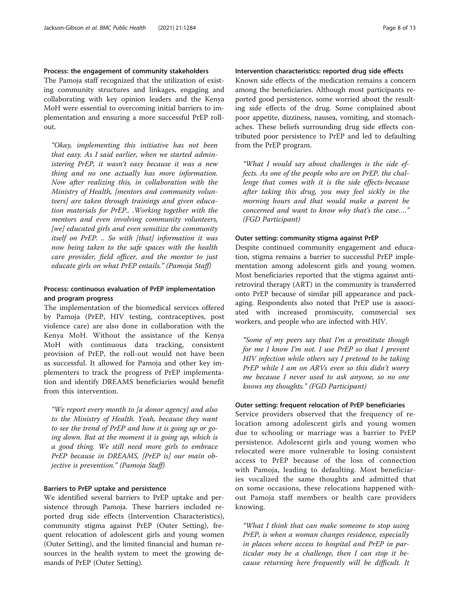# Process: the engagement of community stakeholders

The Pamoja staff recognized that the utilization of existing community structures and linkages, engaging and collaborating with key opinion leaders and the Kenya MoH were essential to overcoming initial barriers to implementation and ensuring a more successful PrEP rollout.

"Okay, implementing this initiative has not been that easy. As I said earlier, when we started administering PrEP, it wasn't easy because it was a new thing and no one actually has more information. Now after realizing this, in collaboration with the Ministry of Health, [mentors and community volunteers] are taken through trainings and given education materials for PrEP.. .Working together with the mentors and even involving community volunteers, [we] educated girls and even sensitize the community itself on PrEP. .. So with [that] information it was now being taken to the safe spaces with the health care provider, field officer, and the mentor to just educate girls on what PrEP entails." (Pamoja Staff)

# Process: continuous evaluation of PrEP implementation and program progress

The implementation of the biomedical services offered by Pamoja (PrEP, HIV testing, contraceptives, post violence care) are also done in collaboration with the Kenya MoH. Without the assistance of the Kenya MoH with continuous data tracking, consistent provision of PrEP, the roll-out would not have been as successful. It allowed for Pamoja and other key implementers to track the progress of PrEP implementation and identify DREAMS beneficiaries would benefit from this intervention.

"We report every month to [a donor agency] and also to the Ministry of Health. Yeah, because they want to see the trend of PrEP and how it is going up or going down. But at the moment it is going up, which is a good thing. We still need more girls to embrace PrEP because in DREAMS, [PrEP is] our main objective is prevention." (Pamoja Staff)

# Barriers to PrEP uptake and persistence

We identified several barriers to PrEP uptake and persistence through Pamoja. These barriers included reported drug side effects (Intervention Characteristics), community stigma against PrEP (Outer Setting), frequent relocation of adolescent girls and young women (Outer Setting), and the limited financial and human resources in the health system to meet the growing demands of PrEP (Outer Setting).

# Intervention characteristics: reported drug side effects

Known side effects of the medication remains a concern among the beneficiaries. Although most participants reported good persistence, some worried about the resulting side effects of the drug. Some complained about poor appetite, dizziness, nausea, vomiting, and stomachaches. These beliefs surrounding drug side effects contributed poor persistence to PrEP and led to defaulting from the PrEP program.

"What I would say about challenges is the side effects. As one of the people who are on PrEP, the challenge that comes with it is the side effects-because after taking this drug, you may feel sickly in the morning hours and that would make a parent be concerned and want to know why that's the case…." (FGD Participant)

#### Outer setting: community stigma against PrEP

Despite continued community engagement and education, stigma remains a barrier to successful PrEP implementation among adolescent girls and young women. Most beneficiaries reported that the stigma against antiretroviral therapy (ART) in the community is transferred onto PrEP because of similar pill appearance and packaging. Respondents also noted that PrEP use is associated with increased promiscuity, commercial sex workers, and people who are infected with HIV.

"Some of my peers say that I'm a prostitute though for me I know I'm not. I use PrEP so that I prevent HIV infection while others say I pretend to be taking PrEP while I am on ARVs even so this didn't worry me because I never used to ask anyone, so no one knows my thoughts." (FGD Participant)

# Outer setting: frequent relocation of PrEP beneficiaries

Service providers observed that the frequency of relocation among adolescent girls and young women due to schooling or marriage was a barrier to PrEP persistence. Adolescent girls and young women who relocated were more vulnerable to losing consistent access to PrEP because of the loss of connection with Pamoja, leading to defaulting. Most beneficiaries vocalized the same thoughts and admitted that on some occasions, these relocations happened without Pamoja staff members or health care providers knowing.

"What I think that can make someone to stop using PrEP, is when a woman changes residence, especially in places where access to hospital and PrEP in particular may be a challenge, then I can stop it because returning here frequently will be difficult. It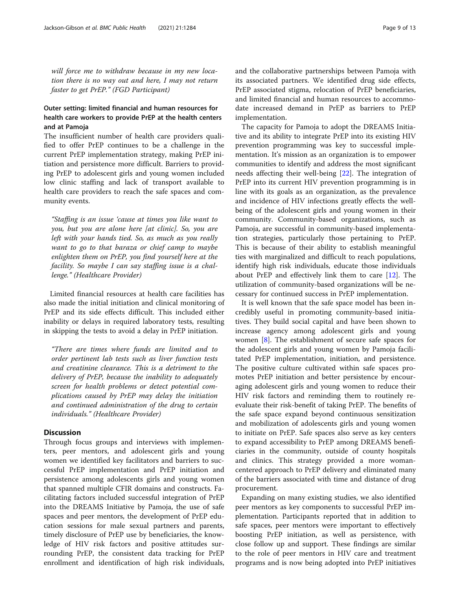will force me to withdraw because in my new location there is no way out and here, I may not return faster to get PrEP." (FGD Participant)

# Outer setting: limited financial and human resources for health care workers to provide PrEP at the health centers and at Pamoja

The insufficient number of health care providers qualified to offer PrEP continues to be a challenge in the current PrEP implementation strategy, making PrEP initiation and persistence more difficult. Barriers to providing PrEP to adolescent girls and young women included low clinic staffing and lack of transport available to health care providers to reach the safe spaces and community events.

"Staffing is an issue 'cause at times you like want to you, but you are alone here [at clinic]. So, you are left with your hands tied. So, as much as you really want to go to that baraza or chief camp to maybe enlighten them on PrEP, you find yourself here at the facility. So maybe I can say staffing issue is a challenge." (Healthcare Provider)

Limited financial resources at health care facilities has also made the initial initiation and clinical monitoring of PrEP and its side effects difficult. This included either inability or delays in required laboratory tests, resulting in skipping the tests to avoid a delay in PrEP initiation.

"There are times where funds are limited and to order pertinent lab tests such as liver function tests and creatinine clearance. This is a detriment to the delivery of PrEP, because the inability to adequately screen for health problems or detect potential complications caused by PrEP may delay the initiation and continued administration of the drug to certain individuals." (Healthcare Provider)

# **Discussion**

Through focus groups and interviews with implementers, peer mentors, and adolescent girls and young women we identified key facilitators and barriers to successful PrEP implementation and PrEP initiation and persistence among adolescents girls and young women that spanned multiple CFIR domains and constructs. Facilitating factors included successful integration of PrEP into the DREAMS Initiative by Pamoja, the use of safe spaces and peer mentors, the development of PrEP education sessions for male sexual partners and parents, timely disclosure of PrEP use by beneficiaries, the knowledge of HIV risk factors and positive attitudes surrounding PrEP, the consistent data tracking for PrEP enrollment and identification of high risk individuals, and the collaborative partnerships between Pamoja with its associated partners. We identified drug side effects, PrEP associated stigma, relocation of PrEP beneficiaries, and limited financial and human resources to accommodate increased demand in PrEP as barriers to PrEP implementation.

The capacity for Pamoja to adopt the DREAMS Initiative and its ability to integrate PrEP into its existing HIV prevention programming was key to successful implementation. It's mission as an organization is to empower communities to identify and address the most significant needs affecting their well-being [[22\]](#page-11-0). The integration of PrEP into its current HIV prevention programming is in line with its goals as an organization, as the prevalence and incidence of HIV infections greatly effects the wellbeing of the adolescent girls and young women in their community. Community-based organizations, such as Pamoja, are successful in community-based implementation strategies, particularly those pertaining to PrEP. This is because of their ability to establish meaningful ties with marginalized and difficult to reach populations, identify high risk individuals, educate those individuals about PrEP and effectively link them to care [[12\]](#page-11-0). The utilization of community-based organizations will be necessary for continued success in PrEP implementation.

It is well known that the safe space model has been incredibly useful in promoting community-based initiatives. They build social capital and have been shown to increase agency among adolescent girls and young women [[8\]](#page-11-0). The establishment of secure safe spaces for the adolescent girls and young women by Pamoja facilitated PrEP implementation, initiation, and persistence. The positive culture cultivated within safe spaces promotes PrEP initiation and better persistence by encouraging adolescent girls and young women to reduce their HIV risk factors and reminding them to routinely reevaluate their risk-benefit of taking PrEP. The benefits of the safe space expand beyond continuous sensitization and mobilization of adolescents girls and young women to initiate on PrEP. Safe spaces also serve as key centers to expand accessibility to PrEP among DREAMS beneficiaries in the community, outside of county hospitals and clinics. This strategy provided a more womancentered approach to PrEP delivery and eliminated many of the barriers associated with time and distance of drug procurement.

Expanding on many existing studies, we also identified peer mentors as key components to successful PrEP implementation. Participants reported that in addition to safe spaces, peer mentors were important to effectively boosting PrEP initiation, as well as persistence, with close follow up and support. These findings are similar to the role of peer mentors in HIV care and treatment programs and is now being adopted into PrEP initiatives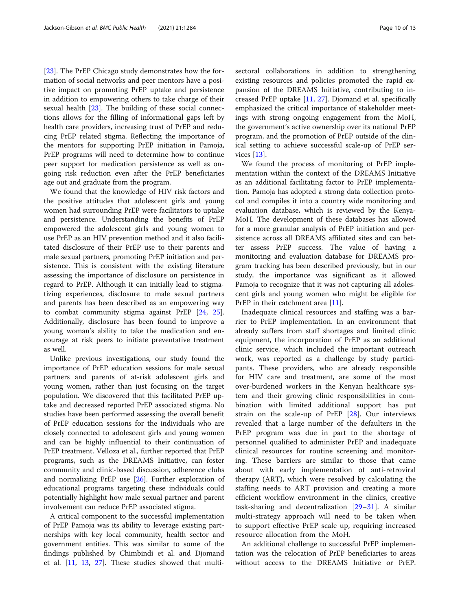[[23\]](#page-11-0). The PrEP Chicago study demonstrates how the formation of social networks and peer mentors have a positive impact on promoting PrEP uptake and persistence in addition to empowering others to take charge of their sexual health [[23\]](#page-11-0). The building of these social connections allows for the filling of informational gaps left by health care providers, increasing trust of PrEP and reducing PrEP related stigma. Reflecting the importance of the mentors for supporting PrEP initiation in Pamoja, PrEP programs will need to determine how to continue peer support for medication persistence as well as ongoing risk reduction even after the PrEP beneficiaries age out and graduate from the program.

We found that the knowledge of HIV risk factors and the positive attitudes that adolescent girls and young women had surrounding PrEP were facilitators to uptake and persistence. Understanding the benefits of PrEP empowered the adolescent girls and young women to use PrEP as an HIV prevention method and it also facilitated disclosure of their PrEP use to their parents and male sexual partners, promoting PrEP initiation and persistence. This is consistent with the existing literature assessing the importance of disclosure on persistence in regard to PrEP. Although it can initially lead to stigmatizing experiences, disclosure to male sexual partners and parents has been described as an empowering way to combat community stigma against PrEP [\[24](#page-11-0), [25](#page-11-0)]. Additionally, disclosure has been found to improve a young woman's ability to take the medication and encourage at risk peers to initiate preventative treatment as well.

Unlike previous investigations, our study found the importance of PrEP education sessions for male sexual partners and parents of at-risk adolescent girls and young women, rather than just focusing on the target population. We discovered that this facilitated PrEP uptake and decreased reported PrEP associated stigma. No studies have been performed assessing the overall benefit of PrEP education sessions for the individuals who are closely connected to adolescent girls and young women and can be highly influential to their continuation of PrEP treatment. Velloza et al., further reported that PrEP programs, such as the DREAMS Initiative, can foster community and clinic-based discussion, adherence clubs and normalizing PrEP use [\[26](#page-11-0)]. Further exploration of educational programs targeting these individuals could potentially highlight how male sexual partner and parent involvement can reduce PrEP associated stigma.

A critical component to the successful implementation of PrEP Pamoja was its ability to leverage existing partnerships with key local community, health sector and government entities. This was similar to some of the findings published by Chimbindi et al. and Djomand et al. [[11,](#page-11-0) [13](#page-11-0), [27\]](#page-11-0). These studies showed that multisectoral collaborations in addition to strengthening existing resources and policies promoted the rapid expansion of the DREAMS Initiative, contributing to increased PrEP uptake [[11,](#page-11-0) [27](#page-11-0)]. Djomand et al. specifically emphasized the critical importance of stakeholder meetings with strong ongoing engagement from the MoH, the government's active ownership over its national PrEP program, and the promotion of PrEP outside of the clinical setting to achieve successful scale-up of PrEP services [\[13](#page-11-0)].

We found the process of monitoring of PrEP implementation within the context of the DREAMS Initiative as an additional facilitating factor to PrEP implementation. Pamoja has adopted a strong data collection protocol and compiles it into a country wide monitoring and evaluation database, which is reviewed by the Kenya-MoH. The development of these databases has allowed for a more granular analysis of PrEP initiation and persistence across all DREAMS affiliated sites and can better assess PrEP success. The value of having a monitoring and evaluation database for DREAMS program tracking has been described previously, but in our study, the importance was significant as it allowed Pamoja to recognize that it was not capturing all adolescent girls and young women who might be eligible for PrEP in their catchment area [[11](#page-11-0)].

Inadequate clinical resources and staffing was a barrier to PrEP implementation. In an environment that already suffers from staff shortages and limited clinic equipment, the incorporation of PrEP as an additional clinic service, which included the important outreach work, was reported as a challenge by study participants. These providers, who are already responsible for HIV care and treatment, are some of the most over-burdened workers in the Kenyan healthcare system and their growing clinic responsibilities in combination with limited additional support has put strain on the scale-up of PrEP [[28\]](#page-11-0). Our interviews revealed that a large number of the defaulters in the PrEP program was due in part to the shortage of personnel qualified to administer PrEP and inadequate clinical resources for routine screening and monitoring. These barriers are similar to those that came about with early implementation of anti-retroviral therapy (ART), which were resolved by calculating the staffing needs to ART provision and creating a more efficient workflow environment in the clinics, creative task-sharing and decentralization [\[29](#page-11-0)–[31](#page-11-0)]. A similar multi-strategy approach will need to be taken when to support effective PrEP scale up, requiring increased resource allocation from the MoH.

An additional challenge to successful PrEP implementation was the relocation of PrEP beneficiaries to areas without access to the DREAMS Initiative or PrEP.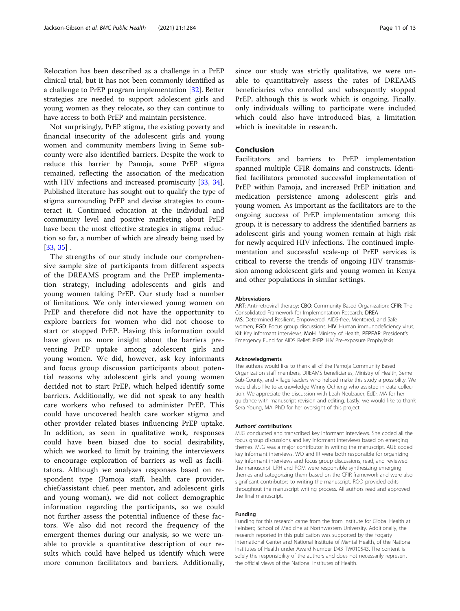Relocation has been described as a challenge in a PrEP clinical trial, but it has not been commonly identified as a challenge to PrEP program implementation [[32\]](#page-11-0). Better strategies are needed to support adolescent girls and young women as they relocate, so they can continue to have access to both PrEP and maintain persistence.

Not surprisingly, PrEP stigma, the existing poverty and financial insecurity of the adolescent girls and young women and community members living in Seme subcounty were also identified barriers. Despite the work to reduce this barrier by Pamoja, some PrEP stigma remained, reflecting the association of the medication with HIV infections and increased promiscuity [[33](#page-11-0), [34](#page-12-0)]. Published literature has sought out to qualify the type of stigma surrounding PrEP and devise strategies to counteract it. Continued education at the individual and community level and positive marketing about PrEP have been the most effective strategies in stigma reduction so far, a number of which are already being used by [[33,](#page-11-0) [35\]](#page-12-0) .

The strengths of our study include our comprehensive sample size of participants from different aspects of the DREAMS program and the PrEP implementation strategy, including adolescents and girls and young women taking PrEP. Our study had a number of limitations. We only interviewed young women on PrEP and therefore did not have the opportunity to explore barriers for women who did not choose to start or stopped PrEP. Having this information could have given us more insight about the barriers preventing PrEP uptake among adolescent girls and young women. We did, however, ask key informants and focus group discussion participants about potential reasons why adolescent girls and young women decided not to start PrEP, which helped identify some barriers. Additionally, we did not speak to any health care workers who refused to administer PrEP. This could have uncovered health care worker stigma and other provider related biases influencing PrEP uptake. In addition, as seen in qualitative work, responses could have been biased due to social desirability, which we worked to limit by training the interviewers to encourage exploration of barriers as well as facilitators. Although we analyzes responses based on respondent type (Pamoja staff, health care provider, chief/assistant chief, peer mentor, and adolescent girls and young woman), we did not collect demographic information regarding the participants, so we could not further assess the potential influence of these factors. We also did not record the frequency of the emergent themes during our analysis, so we were unable to provide a quantitative description of our results which could have helped us identify which were more common facilitators and barriers. Additionally, since our study was strictly qualitative, we were unable to quantitatively assess the rates of DREAMS beneficiaries who enrolled and subsequently stopped PrEP, although this is work which is ongoing. Finally, only individuals willing to participate were included which could also have introduced bias, a limitation which is inevitable in research.

# Conclusion

Facilitators and barriers to PrEP implementation spanned multiple CFIR domains and constructs. Identified facilitators promoted successful implementation of PrEP within Pamoja, and increased PrEP initiation and medication persistence among adolescent girls and young women. As important as the facilitators are to the ongoing success of PrEP implementation among this group, it is necessary to address the identified barriers as adolescent girls and young women remain at high risk for newly acquired HIV infections. The continued implementation and successful scale-up of PrEP services is critical to reverse the trends of ongoing HIV transmission among adolescent girls and young women in Kenya and other populations in similar settings.

#### Abbreviations

ART: Anti-retroviral therapy; CBO: Community Based Organization; CFIR: The Consolidated Framework for Implementation Research; DREA MS: Determined Resilient, Empowered, AIDS-free, Mentored, and Safe women; FGD: Focus group discussions; HIV: Human immunodeficiency virus; KII: Key informant interviews; MoH: Ministry of Health; PEPFAR: President's Emergency Fund for AIDS Relief; PrEP: HIV Pre-exposure Prophylaxis

#### Acknowledgments

The authors would like to thank all of the Pamoja Community Based Organization staff members, DREAMS beneficiaries, Ministry of Health, Seme Sub-County, and village leaders who helped make this study a possibility. We would also like to acknowledge Winny Ochieng who assisted in data collection. We appreciate the discussion with Leah Neubauer, EdD, MA for her guidance with manuscript revision and editing. Lastly, we would like to thank Sera Young, MA, PhD for her oversight of this project.

#### Authors' contributions

MJG conducted and transcribed key informant interviews. She coded all the focus group discussions and key informant interviews based on emerging themes. MJG was a major contributor in writing the manuscript. AUE coded key informant interviews. WO and IR were both responsible for organizing key informant interviews and focus group discussions, read, and reviewed the manuscript. LRH and POM were responsible synthesizing emerging themes and categorizing them based on the CFIR framework and were also significant contributors to writing the manuscript. ROO provided edits throughout the manuscript writing process. All authors read and approved the final manuscript.

#### Funding

Funding for this research came from the from Institute for Global Health at Feinberg School of Medicine at Northwestern University. Additionally, the research reported in this publication was supported by the Fogarty International Center and National Institute of Mental Health, of the National Institutes of Health under Award Number D43 TW010543. The content is solely the responsibility of the authors and does not necessarily represent the official views of the National Institutes of Health.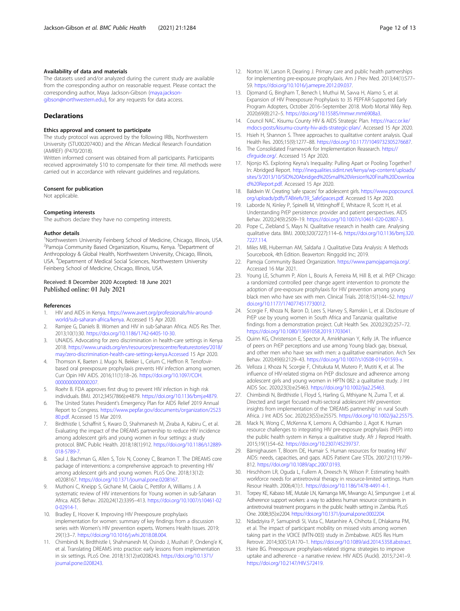#### <span id="page-11-0"></span>Availability of data and materials

The datasets used and/or analyzed during the current study are available from the corresponding author on reasonable request. Please contact the corresponding author, Maya Jackson-Gibson [\(maya.jackson](mailto:maya.jackson-gibson@northwestern.edu)[gibson@northwestern.edu](mailto:maya.jackson-gibson@northwestern.edu)), for any requests for data access.

#### **Declarations**

#### Ethics approval and consent to participate

The study protocol was approved by the following IRBs, Northwestern University (STU00207400.) and the African Medical Research Foundation (AMREF) (P470/2018).

Written informed consent was obtained from all participants. Participants received approximately \$10 to compensate for their time. All methods were carried out in accordance with relevant guidelines and regulations.

#### Consent for publication

Not applicable.

#### Competing interests

The authors declare they have no competing interests.

#### Author details

<sup>1</sup>Northwestern University Feinberg School of Medicine, Chicago, Illinois, USA. <sup>2</sup> Pamoja Community Based Organization, Kisumu, Kenya. <sup>3</sup> Department of Anthropology & Global Health, Northwestern University, Chicago, Illinois, USA. <sup>4</sup>Department of Medical Social Sciences, Northwestern University Feinberg School of Medicine, Chicago, Illinois, USA.

# Received: 8 December 2020 Accepted: 18 June 2021 Published online: 01 July 2021

#### References

- 1. HIV and AIDS in Kenya. [https://www.avert.org/professionals/hiv-around](https://www.avert.org/professionals/hiv-around-world/sub-saharan-africa/kenya)[world/sub-saharan-africa/kenya](https://www.avert.org/professionals/hiv-around-world/sub-saharan-africa/kenya). Accessed 15 Apr 2020.
- 2. Ramjee G, Daniels B. Women and HIV in sub-Saharan Africa. AIDS Res Ther. 2013;10(1):30. <https://doi.org/10.1186/1742-6405-10-30>.
- 3. UNAIDS. Advocating for zero discrimination in health-care settings in Kenya 2018. [https://www.unaids.org/en/resources/presscentre/featurestories/2018/](https://www.unaids.org/en/resources/presscentre/featurestories/2018/may/zero-discrimination-health-care-settings-kenya.Accessed) [may/zero-discrimination-health-care-settings-kenya.Accessed](https://www.unaids.org/en/resources/presscentre/featurestories/2018/may/zero-discrimination-health-care-settings-kenya.Accessed) 15 Apr 2020.
- 4. Thomson K, Baeten J, Mugo N, Bekker L, Celum C, Heffron R. Tenofovirbased oral preexposure prophylaxis prevents HIV infection among women. Curr Opin HIV AIDS. 2016;11(1):18–26. [https://doi.org/10.1097/COH.](https://doi.org/10.1097/COH.0000000000000207) [0000000000000207](https://doi.org/10.1097/COH.0000000000000207).
- 5. Roehr B. FDA approves first drug to prevent HIV infection in high risk individuals. BMJ. 2012;345(7866):e4879. [https://doi.org/10.1136/bmj.e4879.](https://doi.org/10.1136/bmj.e4879)
- The United States President's Emergency Plan for AIDS Relief 2019 Annual Report to Congress. [https://www.pepfar.gov/documents/organization/2523](https://www.pepfar.gov/documents/organization/252380.pdf) [80.pdf](https://www.pepfar.gov/documents/organization/252380.pdf). Accessed 15 Mar 2019.
- 7. Birdthistle I, Schaffnit S, Kwaro D, Shahmanesh M, Ziraba A, Kabiru C, et al. Evaluating the impact of the DREAMS partnership to reduce HIV incidence among adolescent girls and young women in four settings: a study protocol. BMC Public Health. 2018;18(1):912. [https://doi.org/10.1186/s12889-](https://doi.org/10.1186/s12889-018-5789-7) [018-5789-7](https://doi.org/10.1186/s12889-018-5789-7).
- 8. Saul J, Bachman G, Allen S, Toiv N, Cooney C, Beamon T. The DREAMS core package of interventions: a comprehensive approach to preventing HIV among adolescent girls and young women. PLoS One. 2018;13(12): e0208167. <https://doi.org/10.1371/journal.pone.0208167>.
- 9. Muthoni C, Kneipp S, Gichane M, Caiola C, Pettifor A, Williams J. A systematic review of HIV interventions for Young women in sub-Saharan Africa. AIDS Behav. 2020;24(12):3395–413. [https://doi.org/10.1007/s10461-02](https://doi.org/10.1007/s10461-020-02914-1) [0-02914-1.](https://doi.org/10.1007/s10461-020-02914-1)
- 10. Bradley E, Hoover K. Improving HIV Preexposure prophylaxis implementation for women: summary of key findings from a discussion series with Women's HIV prevention experts. Womens Health Issues. 2019; 29(1):3–7. <https://doi.org/10.1016/j.whi.2018.08.004>.
- 11. Chimbindi N, Birdthistle I, Shahmanesh M, Osindo J, Mushati P, Ondeng'e K, et al. Translating DREAMS into practice: early lessons from implementation in six settings. PLoS One. 2018;13(12):e0208243. [https://doi.org/10.1371/](https://doi.org/10.1371/journal.pone.0208243) [journal.pone.0208243](https://doi.org/10.1371/journal.pone.0208243).
- 12. Norton W, Larson R, Dearing J. Primary care and public health partnerships for implementing pre-exposure prophylaxis. Am J Prev Med. 2013;44(1):S77– S9. [https://doi.org/10.1016/j.amepre.2012.09.037.](https://doi.org/10.1016/j.amepre.2012.09.037)
- 13. Djomand G, Bingham T, Benech I, Muthui M, Savva H, Alamo S, et al. Expansion of HIV Preexposure Prophylaxis to 35 PEPFAR-Supported Early Program Adopters, October 2016–September 2018. Morb Mortal Wkly Rep. 2020;69(8):212–5. [https://doi.org/10.15585/mmwr.mm6908a3.](https://doi.org/10.15585/mmwr.mm6908a3)
- 14. Council NAC. Kisumu County HIV & AIDS Strategic Plan. [https://nacc.or.ke/](https://nacc.or.ke/mdocs-posts/kisumu-county-hiv-aids-strategic-plan/) [mdocs-posts/kisumu-county-hiv-aids-strategic-plan/](https://nacc.or.ke/mdocs-posts/kisumu-county-hiv-aids-strategic-plan/). Accessed 15 Apr 2020.
- 15. Hsieh H, Shannon S. Three approaches to qualitative content analysis. Qual Health Res. 2005;15(9):1277–88. <https://doi.org/10.1177/1049732305276687>.
- 16. The Consolidated Framework for Implementation Reasearch. [https://](https://cfirguide.org/) [cfirguide.org/.](https://cfirguide.org/) Accessed 15 Apr 2020.
- 17. Njonjo KS. Exploring Keyna's Inequality: Pulling Apart or Pooling Together? In: Abridged Report. [http://inequalities.sidint.net/kenya/wp-content/uploads/](http://inequalities.sidint.net/kenya/wp-content/uploads/sites/3/2013/10/SID%20Abridged%20Small%20Version%20Final%20Download%20Report.pdf) [sites/3/2013/10/SID%20Abridged%20Small%20Version%20Final%20Downloa](http://inequalities.sidint.net/kenya/wp-content/uploads/sites/3/2013/10/SID%20Abridged%20Small%20Version%20Final%20Download%20Report.pdf) [d%20Report.pdf](http://inequalities.sidint.net/kenya/wp-content/uploads/sites/3/2013/10/SID%20Abridged%20Small%20Version%20Final%20Download%20Report.pdf). Accessed 15 Apr 2020.
- 18. Baldwin W. Creating 'safe spaces' for adolescent girls. [https://www.popcouncil.](https://www.popcouncil.org/uploads/pdfs/TABriefs/39_SafeSpaces.pdf) [org/uploads/pdfs/TABriefs/39\\_SafeSpaces.pdf.](https://www.popcouncil.org/uploads/pdfs/TABriefs/39_SafeSpaces.pdf) Accessed 15 Apr 2020.
- 19. Laborde N, Kinley P, Spinelli M, Vittinghoff E, Whitacre R, Scott H, et al. Understanding PrEP persistence: provider and patient perspectives. AIDS Behav. 2020;24(9):2509–19. <https://doi.org/10.1007/s10461-020-02807-3>.
- 20. Pope C, Ziebland S, Mays N. Qualitative research in health care. Analysing qualitative data. BMJ. 2000;320(7227):114–6. [https://doi.org/10.1136/bmj.320.](https://doi.org/10.1136/bmj.320.7227.114) [7227.114.](https://doi.org/10.1136/bmj.320.7227.114)
- 21. Miles MB, Huberman AM, Saldaña J. Qualitative Data Analysis: A Methods Sourcebook, 4th Edition. Beaverton: Ringgold Inc; 2019.
- 22. Pamoja Community Based Organization. <https://www.pamojapamoja.org/>. Accessed 16 Mar 2021.
- 23. Young LE, Schumm P, Alon L, Bouris A, Ferreira M, Hill B, et al. PrEP Chicago: a randomized controlled peer change agent intervention to promote the adoption of pre-exposure prophylaxis for HIV prevention among young black men who have sex with men. Clinical Trials. 2018;15(1):44–52. [https://](https://doi.org/10.1177/1740774517730012) [doi.org/10.1177/1740774517730012.](https://doi.org/10.1177/1740774517730012)
- 24. Scorgie F, Khoza N, Baron D, Lees S, Harvey S, Ramskin L, et al. Disclosure of PrEP use by young women in South Africa and Tanzania: qualitative findings from a demonstration project. Cult Health Sex. 2020;23(2):257–72. <https://doi.org/10.1080/13691058.2019.1703041>.
- 25. Quinn KG, Christenson E, Spector A, Amirkhanian Y, Kelly JA. The influence of peers on PrEP perceptions and use among Young black gay, bisexual, and other men who have sex with men: a qualitative examination. Arch Sex Behav. 2020;49(6):2129–43. [https://doi.org/10.1007/s10508-019-01593-x.](https://doi.org/10.1007/s10508-019-01593-x)
- 26. Velloza J, Khoza N, Scorgie F, Chitukuta M, Mutero P, Mutiti K, et al. The influence of HIV-related stigma on PrEP disclosure and adherence among adolescent girls and young women in HPTN 082: a qualitative study. J Int AIDS Soc. 2020;23(3):e25463. [https://doi.org/10.1002/jia2.25463.](https://doi.org/10.1002/jia2.25463)
- 27. Chimbindi N, Birdthistle I, Floyd S, Harling G, Mthiyane N, Zuma T, et al. Directed and target focused multi-sectoral adolescent HIV prevention: insights from implementation of the 'DREAMS partnership' in rural South Africa. J Int AIDS Soc. 2020;23(S5):e25575. <https://doi.org/10.1002/jia2.25575>.
- 28. Mack N, Wong C, McKenna K, Lemons A, Odhiambo J, Agot K. Human resource challenges to integrating HIV pre-exposure prophylaxis (PrEP) into the public health system in Kenya: a qualitative study. Afr J Reprod Health. 2015;19(1):54–62. [https://doi.org/10.2307/45239737.](https://doi.org/10.2307/45239737)
- 29. Bärnighausen T, Bloom DE, Humair S. Human resources for treating HIV/ AIDS: needs, capacities, and gaps. AIDS Patient Care STDs. 2007;21(11):799– 812. <https://doi.org/10.1089/apc.2007.0193>.
- 30. Hirschhorn LR, Oguda L, Fullem A, Dreesch N, Wilson P. Estimating health workforce needs for antiretroviral therapy in resource-limited settings. Hum Resour Health. 2006;4(1):1. [https://doi.org/10.1186/1478-4491-4-1.](https://doi.org/10.1186/1478-4491-4-1)
- 31. Torpey KE, Kabaso ME, Mutale LN, Kamanga MK, Mwango AJ, Simpungwe J, et al. Adherence support workers: a way to address human resource constraints in antiretroviral treatment programs in the public health setting in Zambia. PLoS One. 2008;3(5):e2204. <https://doi.org/10.1371/journal.pone.0002204>.
- 32. Ndadziyira P, Samupindi SI, Vuta C, Matanhire A, Chihota E, Dhlakama PM, et al. The impact of participant mobility on missed visits among women taking part in the VOICE (MTN-003) study in Zimbabwe. AIDS Res Hum Retrovir. 2014;30(S1):A170–1. [https://doi.org/10.1089/aid.2014.5358.abstract.](https://doi.org/10.1089/aid.2014.5358.abstract)
- 33. Haire BG. Preexposure prophylaxis-related stigma: strategies to improve uptake and adherence - a narrative review. HIV AIDS (Auckl). 2015;7:241–9. [https://doi.org/10.2147/HIV.S72419.](https://doi.org/10.2147/HIV.S72419)